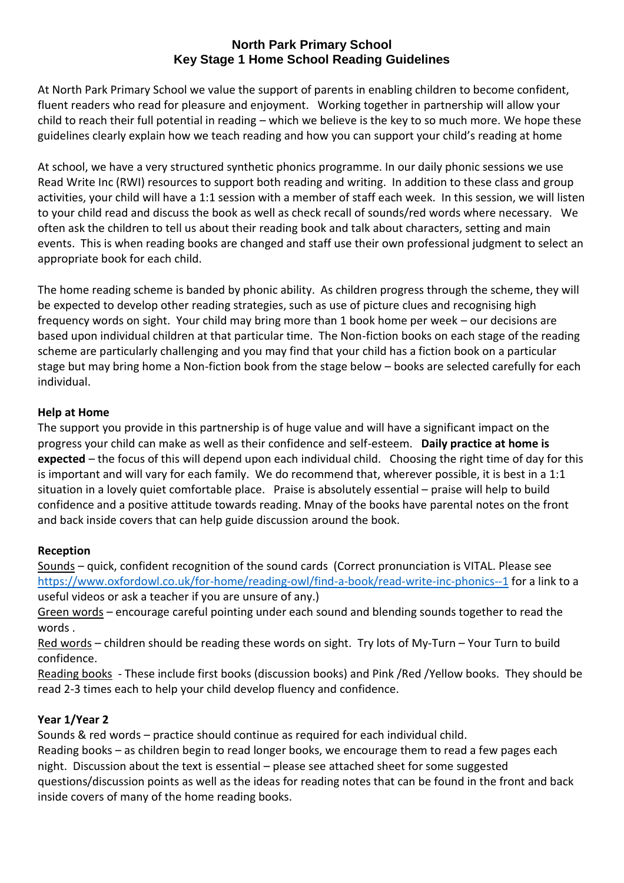#### **North Park Primary School Key Stage 1 Home School Reading Guidelines**

At North Park Primary School we value the support of parents in enabling children to become confident, fluent readers who read for pleasure and enjoyment. Working together in partnership will allow your child to reach their full potential in reading – which we believe is the key to so much more. We hope these guidelines clearly explain how we teach reading and how you can support your child's reading at home

At school, we have a very structured synthetic phonics programme. In our daily phonic sessions we use Read Write Inc (RWI) resources to support both reading and writing. In addition to these class and group activities, your child will have a 1:1 session with a member of staff each week. In this session, we will listen to your child read and discuss the book as well as check recall of sounds/red words where necessary. We often ask the children to tell us about their reading book and talk about characters, setting and main events. This is when reading books are changed and staff use their own professional judgment to select an appropriate book for each child.

The home reading scheme is banded by phonic ability. As children progress through the scheme, they will be expected to develop other reading strategies, such as use of picture clues and recognising high frequency words on sight. Your child may bring more than 1 book home per week – our decisions are based upon individual children at that particular time. The Non-fiction books on each stage of the reading scheme are particularly challenging and you may find that your child has a fiction book on a particular stage but may bring home a Non-fiction book from the stage below – books are selected carefully for each individual.

### **Help at Home**

The support you provide in this partnership is of huge value and will have a significant impact on the progress your child can make as well as their confidence and self-esteem. **Daily practice at home is expected** – the focus of this will depend upon each individual child. Choosing the right time of day for this is important and will vary for each family. We do recommend that, wherever possible, it is best in a 1:1 situation in a lovely quiet comfortable place. Praise is absolutely essential – praise will help to build confidence and a positive attitude towards reading. Mnay of the books have parental notes on the front and back inside covers that can help guide discussion around the book.

## **Reception**

Sounds – quick, confident recognition of the sound cards (Correct pronunciation is VITAL. Please see <https://www.oxfordowl.co.uk/for-home/reading-owl/find-a-book/read-write-inc-phonics--1> for a link to a useful videos or ask a teacher if you are unsure of any.)

Green words - encourage careful pointing under each sound and blending sounds together to read the words .

Red words – children should be reading these words on sight. Try lots of My-Turn – Your Turn to build confidence.

Reading books - These include first books (discussion books) and Pink /Red /Yellow books. They should be read 2-3 times each to help your child develop fluency and confidence.

## **Year 1/Year 2**

Sounds & red words – practice should continue as required for each individual child. Reading books – as children begin to read longer books, we encourage them to read a few pages each night. Discussion about the text is essential – please see attached sheet for some suggested questions/discussion points as well as the ideas for reading notes that can be found in the front and back inside covers of many of the home reading books.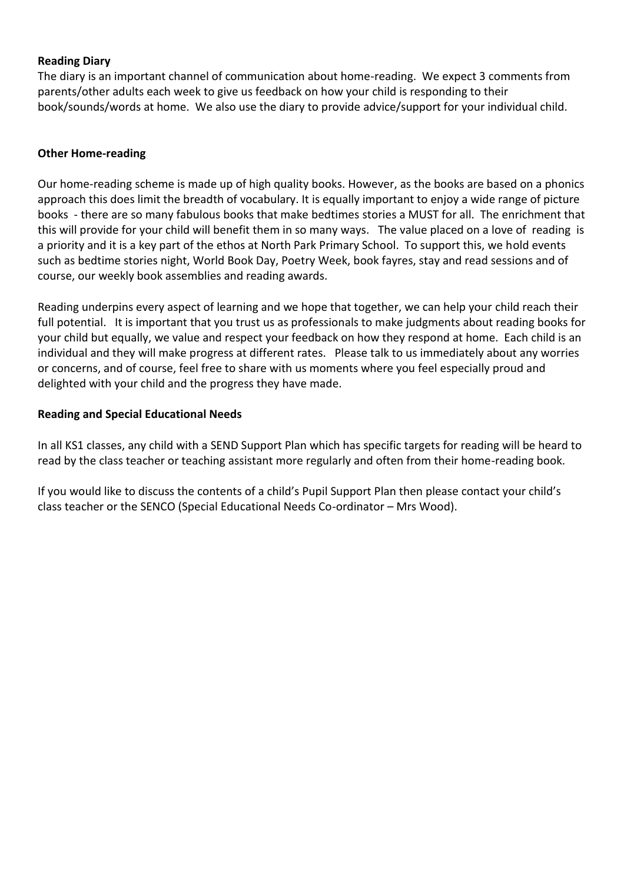#### **Reading Diary**

The diary is an important channel of communication about home-reading. We expect 3 comments from parents/other adults each week to give us feedback on how your child is responding to their book/sounds/words at home. We also use the diary to provide advice/support for your individual child.

#### **Other Home-reading**

Our home-reading scheme is made up of high quality books. However, as the books are based on a phonics approach this does limit the breadth of vocabulary. It is equally important to enjoy a wide range of picture books - there are so many fabulous books that make bedtimes stories a MUST for all. The enrichment that this will provide for your child will benefit them in so many ways. The value placed on a love of reading is a priority and it is a key part of the ethos at North Park Primary School. To support this, we hold events such as bedtime stories night, World Book Day, Poetry Week, book fayres, stay and read sessions and of course, our weekly book assemblies and reading awards.

Reading underpins every aspect of learning and we hope that together, we can help your child reach their full potential. It is important that you trust us as professionals to make judgments about reading books for your child but equally, we value and respect your feedback on how they respond at home. Each child is an individual and they will make progress at different rates. Please talk to us immediately about any worries or concerns, and of course, feel free to share with us moments where you feel especially proud and delighted with your child and the progress they have made.

#### **Reading and Special Educational Needs**

In all KS1 classes, any child with a SEND Support Plan which has specific targets for reading will be heard to read by the class teacher or teaching assistant more regularly and often from their home-reading book.

If you would like to discuss the contents of a child's Pupil Support Plan then please contact your child's class teacher or the SENCO (Special Educational Needs Co-ordinator – Mrs Wood).